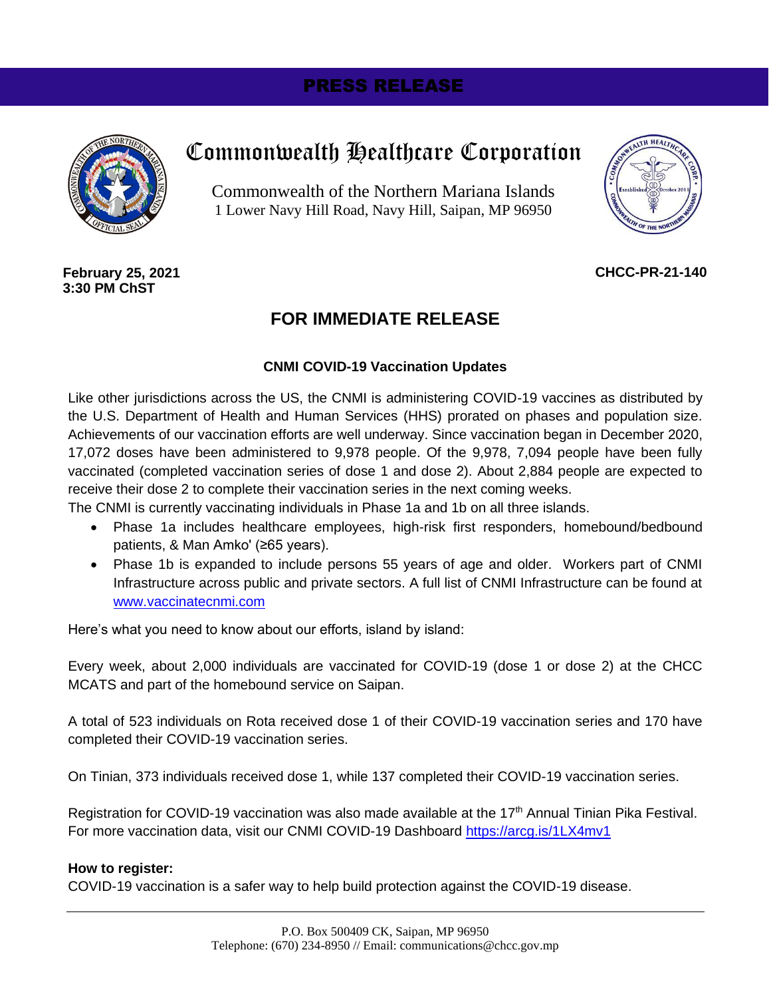# PRESS RELEASE



# Commonwealth Healthcare Corporation

Commonwealth of the Northern Mariana Islands 1 Lower Navy Hill Road, Navy Hill, Saipan, MP 96950



**CHCC-PR-21-140**

**February 25, 2021 3:30 PM ChST**

## **FOR IMMEDIATE RELEASE**

#### **CNMI COVID-19 Vaccination Updates**

Like other jurisdictions across the US, the CNMI is administering COVID-19 vaccines as distributed by the U.S. Department of Health and Human Services (HHS) prorated on phases and population size. Achievements of our vaccination efforts are well underway. Since vaccination began in December 2020, 17,072 doses have been administered to 9,978 people. Of the 9,978, 7,094 people have been fully vaccinated (completed vaccination series of dose 1 and dose 2). About 2,884 people are expected to receive their dose 2 to complete their vaccination series in the next coming weeks.

The CNMI is currently vaccinating individuals in Phase 1a and 1b on all three islands.

- Phase 1a includes healthcare employees, high-risk first responders, homebound/bedbound patients, & Man Amko' (≥65 years).
- Phase 1b is expanded to include persons 55 years of age and older. Workers part of CNMI Infrastructure across public and private sectors. A full list of CNMI Infrastructure can be found at [www.vaccinatecnmi.com](file:///C:/Users/lee.tenorio/Desktop/www.vaccinatecnmi.com)

Here's what you need to know about our efforts, island by island:

Every week, about 2,000 individuals are vaccinated for COVID-19 (dose 1 or dose 2) at the CHCC MCATS and part of the homebound service on Saipan.

A total of 523 individuals on Rota received dose 1 of their COVID-19 vaccination series and 170 have completed their COVID-19 vaccination series.

On Tinian, 373 individuals received dose 1, while 137 completed their COVID-19 vaccination series.

Registration for COVID-19 vaccination was also made available at the 17<sup>th</sup> Annual Tinian Pika Festival. For more vaccination data, visit our CNMI COVID-19 Dashboard<https://arcg.is/1LX4mv1>

#### **How to register:**

COVID-19 vaccination is a safer way to help build protection against the COVID-19 disease.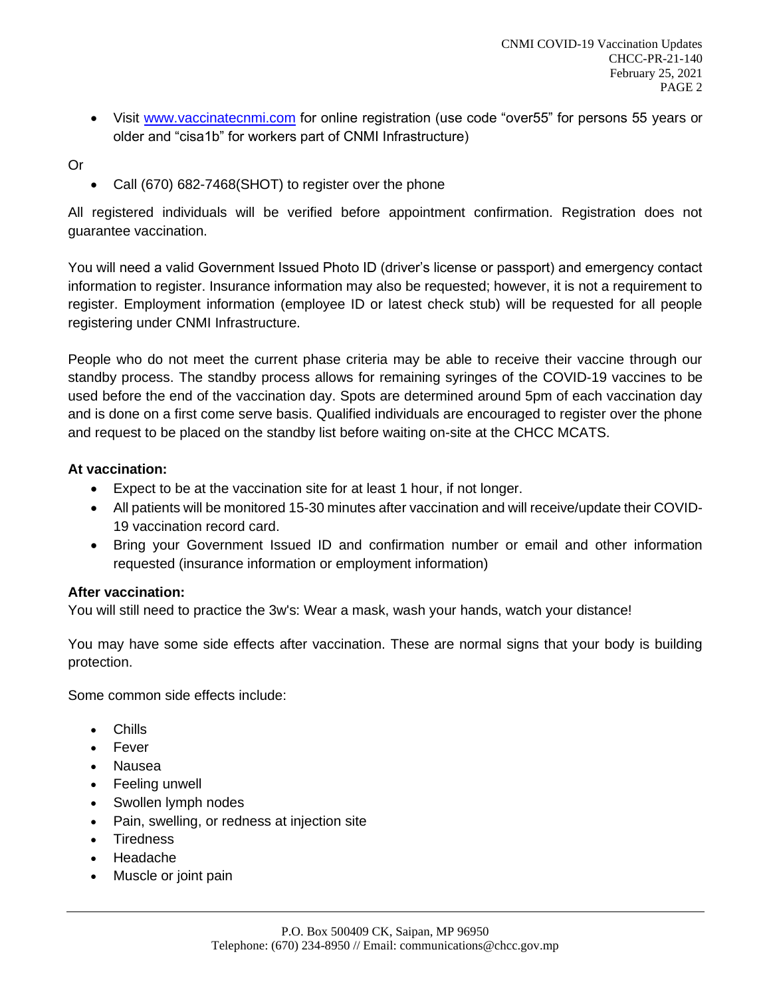• Visit [www.vaccinatecnmi.com](file:///C:/Users/lee.tenorio/Desktop/www.vaccinatecnmi.com) for online registration (use code "over55" for persons 55 years or older and "cisa1b" for workers part of CNMI Infrastructure)

Or

• Call (670) 682-7468(SHOT) to register over the phone

All registered individuals will be verified before appointment confirmation. Registration does not guarantee vaccination.

You will need a valid Government Issued Photo ID (driver's license or passport) and emergency contact information to register. Insurance information may also be requested; however, it is not a requirement to register. Employment information (employee ID or latest check stub) will be requested for all people registering under CNMI Infrastructure.

People who do not meet the current phase criteria may be able to receive their vaccine through our standby process. The standby process allows for remaining syringes of the COVID-19 vaccines to be used before the end of the vaccination day. Spots are determined around 5pm of each vaccination day and is done on a first come serve basis. Qualified individuals are encouraged to register over the phone and request to be placed on the standby list before waiting on-site at the CHCC MCATS.

### **At vaccination:**

- Expect to be at the vaccination site for at least 1 hour, if not longer.
- All patients will be monitored 15-30 minutes after vaccination and will receive/update their COVID-19 vaccination record card.
- Bring your Government Issued ID and confirmation number or email and other information requested (insurance information or employment information)

### **After vaccination:**

You will still need to practice the 3w's: Wear a mask, wash your hands, watch your distance!

You may have some side effects after vaccination. These are normal signs that your body is building protection.

Some common side effects include:

- Chills
- Fever
- Nausea
- Feeling unwell
- Swollen lymph nodes
- Pain, swelling, or redness at injection site
- **Tiredness**
- Headache
- Muscle or joint pain